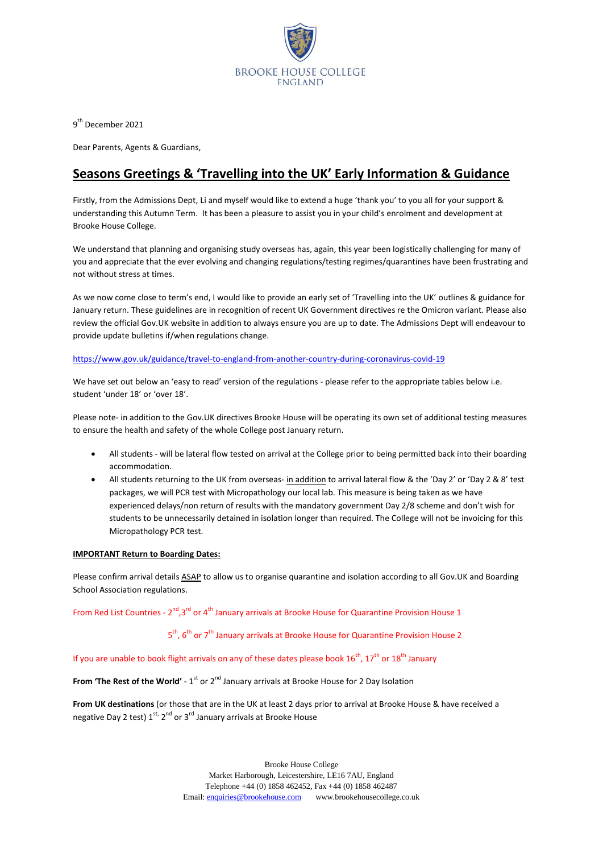

9<sup>th</sup> December 2021

Dear Parents, Agents & Guardians,

# **Seasons Greetings & 'Travelling into the UK' Early Information & Guidance**

Firstly, from the Admissions Dept, Li and myself would like to extend a huge 'thank you' to you all for your support & understanding this Autumn Term. It has been a pleasure to assist you in your child's enrolment and development at Brooke House College.

We understand that planning and organising study overseas has, again, this year been logistically challenging for many of you and appreciate that the ever evolving and changing regulations/testing regimes/quarantines have been frustrating and not without stress at times.

As we now come close to term's end, I would like to provide an early set of 'Travelling into the UK' outlines & guidance for January return. These guidelines are in recognition of recent UK Government directives re the Omicron variant. Please also review the official Gov.UK website in addition to always ensure you are up to date. The Admissions Dept will endeavour to provide update bulletins if/when regulations change.

### <https://www.gov.uk/guidance/travel-to-england-from-another-country-during-coronavirus-covid-19>

We have set out below an 'easy to read' version of the regulations - please refer to the appropriate tables below i.e. student 'under 18' or 'over 18'.

Please note- in addition to the Gov.UK directives Brooke House will be operating its own set of additional testing measures to ensure the health and safety of the whole College post January return.

- All students will be lateral flow tested on arrival at the College prior to being permitted back into their boarding accommodation.
- All students returning to the UK from overseas- in addition to arrival lateral flow & the 'Day 2' or 'Day 2 & 8' test packages, we will PCR test with Micropathology our local lab. This measure is being taken as we have experienced delays/non return of results with the mandatory government Day 2/8 scheme and don't wish for students to be unnecessarily detained in isolation longer than required. The College will not be invoicing for this Micropathology PCR test.

### **IMPORTANT Return to Boarding Dates:**

Please confirm arrival details ASAP to allow us to organise quarantine and isolation according to all Gov.UK and Boarding School Association regulations.

From Red List Countries - 2<sup>nd</sup>,3<sup>rd</sup> or 4<sup>th</sup> January arrivals at Brooke House for Quarantine Provision House 1

5 (1996) (1996) (1996) (1997) (1997) (1998)  $5<sup>th</sup>$ , 6<sup>th</sup> or 7<sup>th</sup> January arrivals at Brooke House for Quarantine Provision House 2

If you are unable to book flight arrivals on any of these dates please book  $16^{th}$ ,  $17^{th}$  or  $18^{th}$  January

**From 'The Rest of the World'** - 1<sup>st</sup> or 2<sup>nd</sup> January arrivals at Brooke House for 2 Day Isolation

**From UK destinations** (or those that are in the UK at least 2 days prior to arrival at Brooke House & have received a negative Day 2 test) 1<sup>st,</sup> 2<sup>nd</sup> or 3<sup>rd</sup> January arrivals at Brooke House

> Brooke House College Market Harborough, Leicestershire, LE16 7AU, England Telephone +44 (0) 1858 462452, Fax +44 (0) 1858 462487 Email: **enquiries@brookehouse.com** www.brookehousecollege.co.uk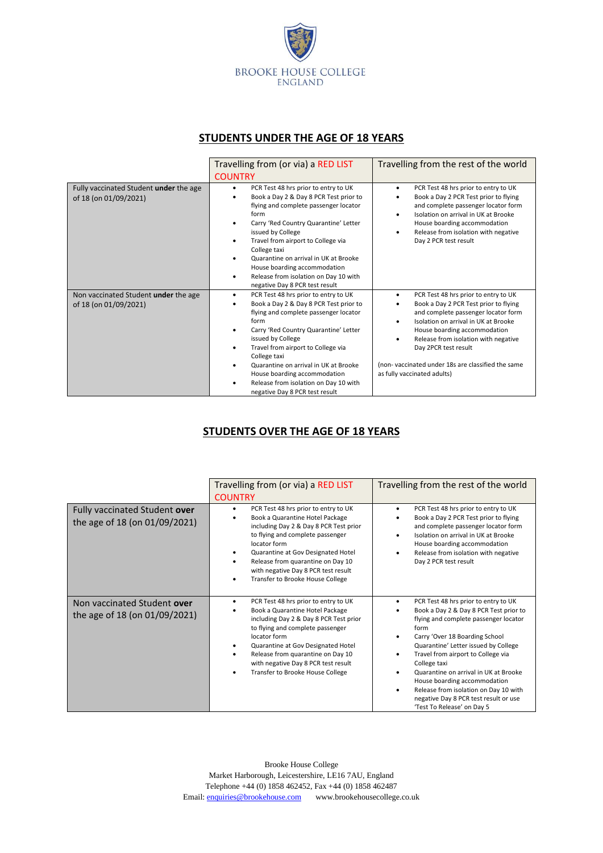

### **STUDENTS UNDER THE AGE OF 18 YEARS**

|                                                                 | Travelling from (or via) a RED LIST<br><b>COUNTRY</b>                                                                                                                                                                                                                                                                                                                                                                | Travelling from the rest of the world                                                                                                                                                                                                                                                                                                            |
|-----------------------------------------------------------------|----------------------------------------------------------------------------------------------------------------------------------------------------------------------------------------------------------------------------------------------------------------------------------------------------------------------------------------------------------------------------------------------------------------------|--------------------------------------------------------------------------------------------------------------------------------------------------------------------------------------------------------------------------------------------------------------------------------------------------------------------------------------------------|
| Fully vaccinated Student under the age<br>of 18 (on 01/09/2021) | PCR Test 48 hrs prior to entry to UK<br>$\bullet$<br>Book a Day 2 & Day 8 PCR Test prior to<br>flying and complete passenger locator<br>form<br>Carry 'Red Country Quarantine' Letter<br>issued by College<br>Travel from airport to College via<br>College taxi<br>Quarantine on arrival in UK at Brooke<br>House boarding accommodation<br>Release from isolation on Day 10 with<br>negative Day 8 PCR test result | PCR Test 48 hrs prior to entry to UK<br>$\bullet$<br>Book a Day 2 PCR Test prior to flying<br>and complete passenger locator form<br>Isolation on arrival in UK at Brooke<br>House boarding accommodation<br>Release from isolation with negative<br>Day 2 PCR test result                                                                       |
| Non vaccinated Student under the age<br>of 18 (on 01/09/2021)   | PCR Test 48 hrs prior to entry to UK<br>Book a Day 2 & Day 8 PCR Test prior to<br>flying and complete passenger locator<br>form<br>Carry 'Red Country Quarantine' Letter<br>issued by College<br>Travel from airport to College via<br>College taxi<br>Quarantine on arrival in UK at Brooke<br>House boarding accommodation<br>Release from isolation on Day 10 with<br>negative Day 8 PCR test result              | PCR Test 48 hrs prior to entry to UK<br>Book a Day 2 PCR Test prior to flying<br>and complete passenger locator form<br>Isolation on arrival in UK at Brooke<br>House boarding accommodation<br>Release from isolation with negative<br>Day 2PCR test result<br>(non-vaccinated under 18s are classified the same<br>as fully vaccinated adults) |

## **STUDENTS OVER THE AGE OF 18 YEARS**

|                                                                | Travelling from (or via) a RED LIST<br><b>COUNTRY</b>                                                                                                                                                                                                                                                                                                              | Travelling from the rest of the world                                                                                                                                                                                                                                                                                                                                                                                                                                 |
|----------------------------------------------------------------|--------------------------------------------------------------------------------------------------------------------------------------------------------------------------------------------------------------------------------------------------------------------------------------------------------------------------------------------------------------------|-----------------------------------------------------------------------------------------------------------------------------------------------------------------------------------------------------------------------------------------------------------------------------------------------------------------------------------------------------------------------------------------------------------------------------------------------------------------------|
| Fully vaccinated Student over<br>the age of 18 (on 01/09/2021) | PCR Test 48 hrs prior to entry to UK<br>$\bullet$<br>Book a Quarantine Hotel Package<br>including Day 2 & Day 8 PCR Test prior<br>to flying and complete passenger<br>locator form<br>Quarantine at Gov Designated Hotel<br>Release from quarantine on Day 10<br>$\bullet$<br>with negative Day 8 PCR test result<br>Transfer to Brooke House College<br>$\bullet$ | PCR Test 48 hrs prior to entry to UK<br>Book a Day 2 PCR Test prior to flying<br>and complete passenger locator form<br>Isolation on arrival in UK at Brooke<br>House boarding accommodation<br>Release from isolation with negative<br>Day 2 PCR test result                                                                                                                                                                                                         |
| Non vaccinated Student over<br>the age of 18 (on 01/09/2021)   | PCR Test 48 hrs prior to entry to UK<br>$\bullet$<br>Book a Quarantine Hotel Package<br>including Day 2 & Day 8 PCR Test prior<br>to flying and complete passenger<br>locator form<br>Quarantine at Gov Designated Hotel<br>Release from quarantine on Day 10<br>with negative Day 8 PCR test result<br>Transfer to Brooke House College<br>٠                      | PCR Test 48 hrs prior to entry to UK<br>$\bullet$<br>Book a Day 2 & Day 8 PCR Test prior to<br>flying and complete passenger locator<br>form<br>Carry 'Over 18 Boarding School<br>Quarantine' Letter issued by College<br>Travel from airport to College via<br>College taxi<br>Quarantine on arrival in UK at Brooke<br>House boarding accommodation<br>Release from isolation on Day 10 with<br>negative Day 8 PCR test result or use<br>'Test To Release' on Day 5 |